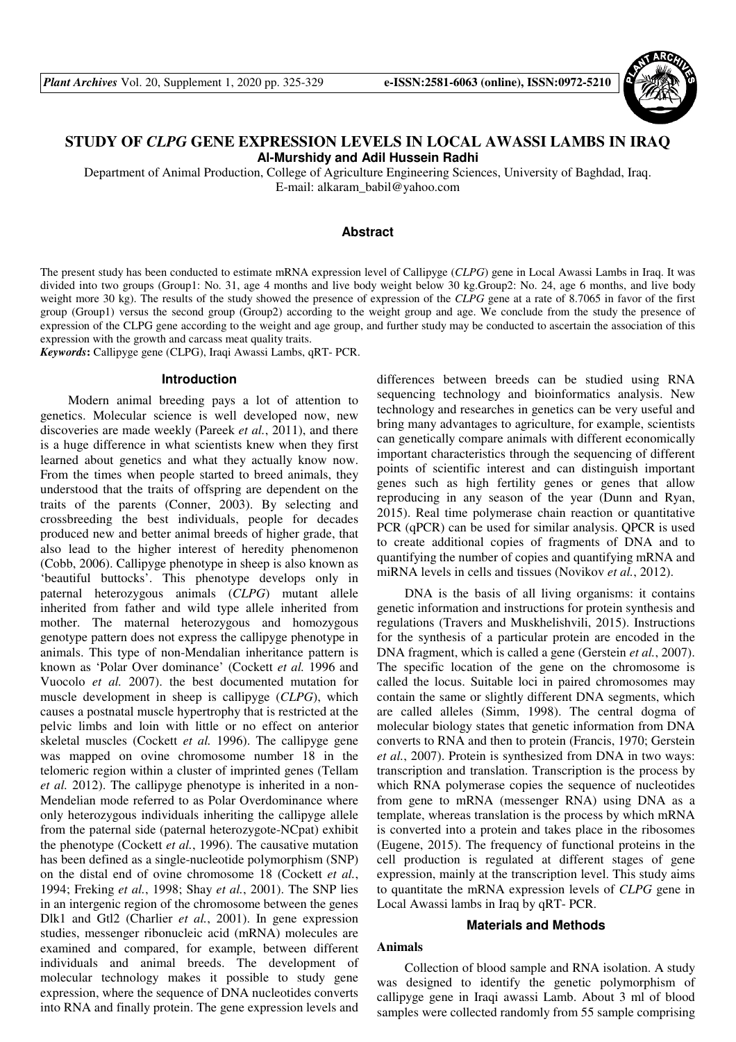

# **STUDY OF** *CLPG* **GENE EXPRESSION LEVELS IN LOCAL AWASSI LAMBS IN IRAQ Al-Murshidy and Adil Hussein Radhi**

Department of Animal Production, College of Agriculture Engineering Sciences, University of Baghdad, Iraq. E-mail: alkaram\_babil@yahoo.com

### **Abstract**

The present study has been conducted to estimate mRNA expression level of Callipyge (*CLPG*) gene in Local Awassi Lambs in Iraq. It was divided into two groups (Group1: No. 31, age 4 months and live body weight below 30 kg.Group2: No. 24, age 6 months, and live body weight more 30 kg). The results of the study showed the presence of expression of the *CLPG* gene at a rate of 8.7065 in favor of the first group (Group1) versus the second group (Group2) according to the weight group and age. We conclude from the study the presence of expression of the CLPG gene according to the weight and age group, and further study may be conducted to ascertain the association of this expression with the growth and carcass meat quality traits.

*Keywords***:** Callipyge gene (CLPG), Iraqi Awassi Lambs, qRT- PCR.

#### **Introduction**

Modern animal breeding pays a lot of attention to genetics. Molecular science is well developed now, new discoveries are made weekly (Pareek *et al.*, 2011), and there is a huge difference in what scientists knew when they first learned about genetics and what they actually know now. From the times when people started to breed animals, they understood that the traits of offspring are dependent on the traits of the parents (Conner, 2003). By selecting and crossbreeding the best individuals, people for decades produced new and better animal breeds of higher grade, that also lead to the higher interest of heredity phenomenon (Cobb, 2006). Callipyge phenotype in sheep is also known as 'beautiful buttocks'. This phenotype develops only in paternal heterozygous animals (*CLPG*) mutant allele inherited from father and wild type allele inherited from mother. The maternal heterozygous and homozygous genotype pattern does not express the callipyge phenotype in animals. This type of non-Mendalian inheritance pattern is known as 'Polar Over dominance' (Cockett *et al.* 1996 and Vuocolo *et al.* 2007). the best documented mutation for muscle development in sheep is callipyge (*CLPG*), which causes a postnatal muscle hypertrophy that is restricted at the pelvic limbs and loin with little or no effect on anterior skeletal muscles (Cockett *et al.* 1996). The callipyge gene was mapped on ovine chromosome number 18 in the telomeric region within a cluster of imprinted genes (Tellam *et al.* 2012). The callipyge phenotype is inherited in a non-Mendelian mode referred to as Polar Overdominance where only heterozygous individuals inheriting the callipyge allele from the paternal side (paternal heterozygote-NCpat) exhibit the phenotype (Cockett *et al.*, 1996). The causative mutation has been defined as a single-nucleotide polymorphism (SNP) on the distal end of ovine chromosome 18 (Cockett *et al.*, 1994; Freking *et al.*, 1998; Shay *et al.*, 2001). The SNP lies in an intergenic region of the chromosome between the genes Dlk1 and Gtl2 (Charlier *et al.*, 2001). In gene expression studies, messenger ribonucleic acid (mRNA) molecules are examined and compared, for example, between different individuals and animal breeds. The development of molecular technology makes it possible to study gene expression, where the sequence of DNA nucleotides converts into RNA and finally protein. The gene expression levels and differences between breeds can be studied using RNA sequencing technology and bioinformatics analysis. New technology and researches in genetics can be very useful and bring many advantages to agriculture, for example, scientists can genetically compare animals with different economically important characteristics through the sequencing of different points of scientific interest and can distinguish important genes such as high fertility genes or genes that allow reproducing in any season of the year (Dunn and Ryan, 2015). Real time polymerase chain reaction or quantitative PCR (qPCR) can be used for similar analysis. QPCR is used to create additional copies of fragments of DNA and to quantifying the number of copies and quantifying mRNA and miRNA levels in cells and tissues (Novikov *et al.*, 2012).

DNA is the basis of all living organisms: it contains genetic information and instructions for protein synthesis and regulations (Travers and Muskhelishvili, 2015). Instructions for the synthesis of a particular protein are encoded in the DNA fragment, which is called a gene (Gerstein *et al.*, 2007). The specific location of the gene on the chromosome is called the locus. Suitable loci in paired chromosomes may contain the same or slightly different DNA segments, which are called alleles (Simm, 1998). The central dogma of molecular biology states that genetic information from DNA converts to RNA and then to protein (Francis, 1970; Gerstein *et al.*, 2007). Protein is synthesized from DNA in two ways: transcription and translation. Transcription is the process by which RNA polymerase copies the sequence of nucleotides from gene to mRNA (messenger RNA) using DNA as a template, whereas translation is the process by which mRNA is converted into a protein and takes place in the ribosomes (Eugene, 2015). The frequency of functional proteins in the cell production is regulated at different stages of gene expression, mainly at the transcription level. This study aims to quantitate the mRNA expression levels of *CLPG* gene in Local Awassi lambs in Iraq by qRT- PCR.

### **Materials and Methods**

### **Animals**

Collection of blood sample and RNA isolation. A study was designed to identify the genetic polymorphism of callipyge gene in Iraqi awassi Lamb. About 3 ml of blood samples were collected randomly from 55 sample comprising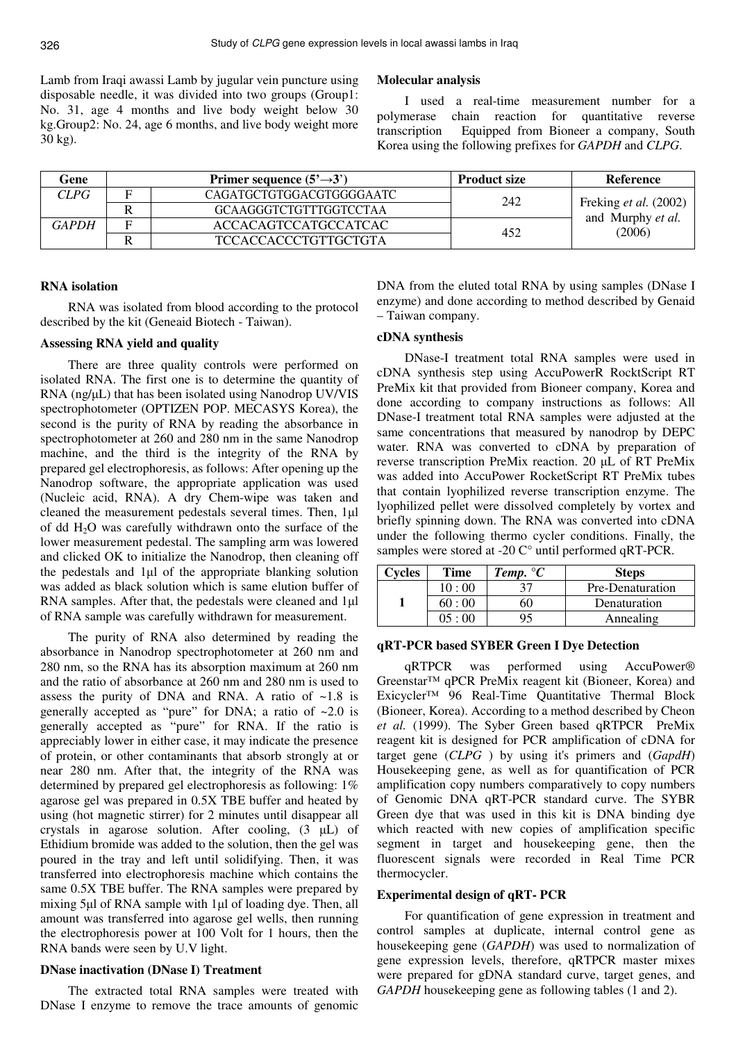Lamb from Iraqi awassi Lamb by jugular vein puncture using disposable needle, it was divided into two groups (Group1: No. 31, age 4 months and live body weight below 30 kg.Group2: No. 24, age 6 months, and live body weight more 30 kg).

### **Molecular analysis**

I used a real-time measurement number for a polymerase chain reaction for quantitative reverse transcription Equipped from Bioneer a company, South Korea using the following prefixes for *GAPDH* and *CLPG*.

| Gene  | Primer sequence $(5' \rightarrow 3')$ | <b>Product size</b> | Reference                                            |
|-------|---------------------------------------|---------------------|------------------------------------------------------|
| CLPG  | CAGATGCTGTGGACGTGGGGAATC              | 242                 | Freking et al. (2002)<br>and Murphy et al.<br>(2006) |
|       | <b>GCAAGGGTCTGTTTGGTCCTAA</b>         |                     |                                                      |
| GAPDH | ACCACAGTCCATGCCATCAC                  | 452                 |                                                      |
|       | <b>TCCACCACCCTGTTGCTGTA</b>           |                     |                                                      |

### **RNA isolation**

RNA was isolated from blood according to the protocol described by the kit (Geneaid Biotech - Taiwan).

### **Assessing RNA yield and quality**

There are three quality controls were performed on isolated RNA. The first one is to determine the quantity of RNA (ng/µL) that has been isolated using Nanodrop UV/VIS spectrophotometer (OPTIZEN POP. MECASYS Korea), the second is the purity of RNA by reading the absorbance in spectrophotometer at 260 and 280 nm in the same Nanodrop machine, and the third is the integrity of the RNA by prepared gel electrophoresis, as follows: After opening up the Nanodrop software, the appropriate application was used (Nucleic acid, RNA). A dry Chem-wipe was taken and cleaned the measurement pedestals several times. Then, 1µl of dd  $H_2O$  was carefully withdrawn onto the surface of the lower measurement pedestal. The sampling arm was lowered and clicked OK to initialize the Nanodrop, then cleaning off the pedestals and 1µl of the appropriate blanking solution was added as black solution which is same elution buffer of RNA samples. After that, the pedestals were cleaned and 1µl of RNA sample was carefully withdrawn for measurement.

The purity of RNA also determined by reading the absorbance in Nanodrop spectrophotometer at 260 nm and 280 nm, so the RNA has its absorption maximum at 260 nm and the ratio of absorbance at 260 nm and 280 nm is used to assess the purity of DNA and RNA. A ratio of  $\sim$ 1.8 is generally accepted as "pure" for DNA; a ratio of  $\sim 2.0$  is generally accepted as "pure" for RNA. If the ratio is appreciably lower in either case, it may indicate the presence of protein, or other contaminants that absorb strongly at or near 280 nm. After that, the integrity of the RNA was determined by prepared gel electrophoresis as following: 1% agarose gel was prepared in 0.5X TBE buffer and heated by using (hot magnetic stirrer) for 2 minutes until disappear all crystals in agarose solution. After cooling, (3 µL) of Ethidium bromide was added to the solution, then the gel was poured in the tray and left until solidifying. Then, it was transferred into electrophoresis machine which contains the same 0.5X TBE buffer. The RNA samples were prepared by mixing 5µl of RNA sample with 1µl of loading dye. Then, all amount was transferred into agarose gel wells, then running the electrophoresis power at 100 Volt for 1 hours, then the RNA bands were seen by U.V light.

#### **DNase inactivation (DNase I) Treatment**

The extracted total RNA samples were treated with DNase I enzyme to remove the trace amounts of genomic

DNA from the eluted total RNA by using samples (DNase I enzyme) and done according to method described by Genaid – Taiwan company.

### **cDNA synthesis**

DNase-I treatment total RNA samples were used in cDNA synthesis step using AccuPowerR RocktScript RT PreMix kit that provided from Bioneer company, Korea and done according to company instructions as follows: All DNase-I treatment total RNA samples were adjusted at the same concentrations that measured by nanodrop by DEPC water. RNA was converted to cDNA by preparation of reverse transcription PreMix reaction. 20 µL of RT PreMix was added into AccuPower RocketScript RT PreMix tubes that contain lyophilized reverse transcription enzyme. The lyophilized pellet were dissolved completely by vortex and briefly spinning down. The RNA was converted into cDNA under the following thermo cycler conditions. Finally, the samples were stored at -20 C° until performed qRT-PCR.

| Cycles | <b>Time</b> | <b>Temp.</b> ${}^{\circ}C$ | <b>Steps</b>     |
|--------|-------------|----------------------------|------------------|
|        | 10:00       |                            | Pre-Denaturation |
|        | 60:00       |                            | Denaturation     |
|        | 05:00       | Q٢                         | Annealing        |

### **qRT-PCR based SYBER Green I Dye Detection**

qRTPCR was performed using AccuPower® Greenstar™ qPCR PreMix reagent kit (Bioneer, Korea) and Exicycler™ 96 Real-Time Quantitative Thermal Block (Bioneer, Korea). According to a method described by Cheon *et al.* (1999). The Syber Green based qRTPCR PreMix reagent kit is designed for PCR amplification of cDNA for target gene (*CLPG* ) by using it's primers and (*GapdH*) Housekeeping gene, as well as for quantification of PCR amplification copy numbers comparatively to copy numbers of Genomic DNA qRT-PCR standard curve. The SYBR Green dye that was used in this kit is DNA binding dye which reacted with new copies of amplification specific segment in target and housekeeping gene, then the fluorescent signals were recorded in Real Time PCR thermocycler.

### **Experimental design of qRT- PCR**

For quantification of gene expression in treatment and control samples at duplicate, internal control gene as housekeeping gene (*GAPDH*) was used to normalization of gene expression levels, therefore, qRTPCR master mixes were prepared for gDNA standard curve, target genes, and *GAPDH* housekeeping gene as following tables (1 and 2).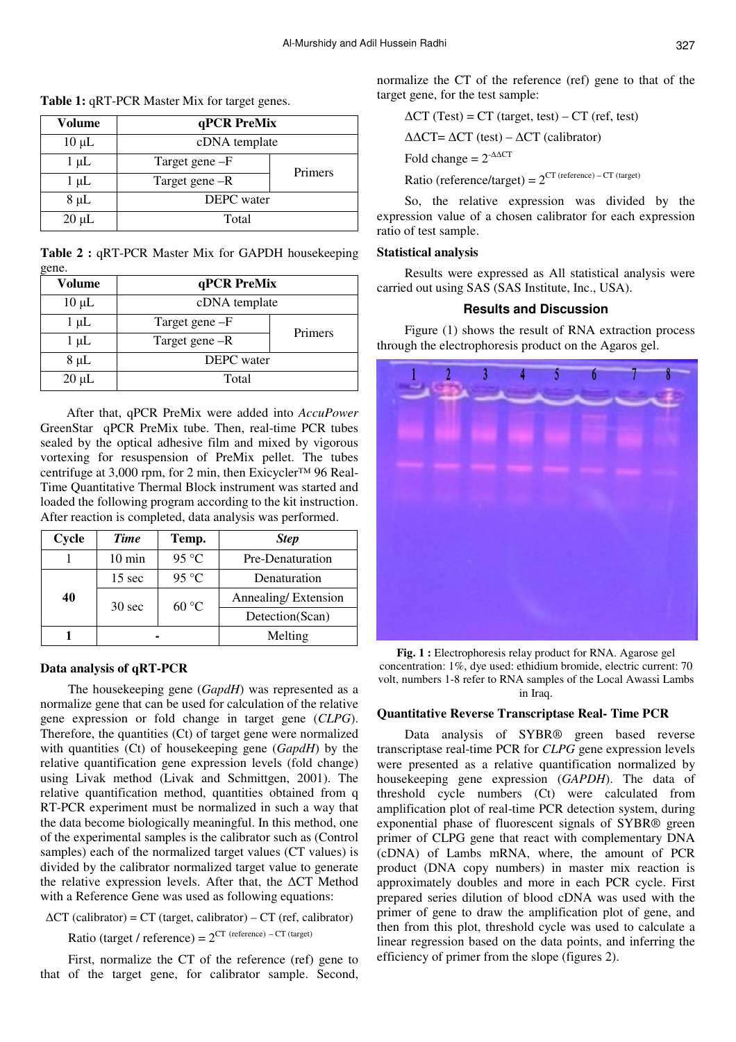normalize the CT of the reference (ref) gene to that of the target gene, for the test sample:

| Volume     | qPCR PreMix       |         |  |
|------------|-------------------|---------|--|
| $10 \mu L$ | cDNA template     |         |  |
| $1 \mu L$  | Target gene -F    | Primers |  |
| $1 \mu L$  | Target gene -R    |         |  |
| $8 \mu L$  | <b>DEPC</b> water |         |  |
| $20 \mu L$ | Total             |         |  |

**Table 2 :** qRT-PCR Master Mix for GAPDH housekeeping gene.

| <b>Volume</b> | qPCR PreMix       |         |  |  |
|---------------|-------------------|---------|--|--|
| $10 \mu L$    | cDNA template     |         |  |  |
| $1 \mu L$     | Target gene -F    | Primers |  |  |
| $1 \mu L$     | Target gene -R    |         |  |  |
| $8 \mu L$     | <b>DEPC</b> water |         |  |  |
| $20 \mu L$    | Total             |         |  |  |

 After that, qPCR PreMix were added into *AccuPower*  GreenStar qPCR PreMix tube. Then, real-time PCR tubes sealed by the optical adhesive film and mixed by vigorous vortexing for resuspension of PreMix pellet. The tubes centrifuge at 3,000 rpm, for 2 min, then Exicycler™ 96 Real-Time Quantitative Thermal Block instrument was started and loaded the following program according to the kit instruction. After reaction is completed, data analysis was performed.

| Cycle | <b>Time</b>      | Temp. | <b>Step</b>         |  |
|-------|------------------|-------|---------------------|--|
|       | $10 \text{ min}$ | 95 °C | Pre-Denaturation    |  |
|       | $15 \text{ sec}$ | 95 °C | Denaturation        |  |
| 40    | $30 \text{ sec}$ | 60 °C | Annealing/Extension |  |
|       |                  |       | Detection(Scan)     |  |
|       |                  |       | Melting             |  |

### **Data analysis of qRT-PCR**

The housekeeping gene (*GapdH*) was represented as a normalize gene that can be used for calculation of the relative gene expression or fold change in target gene (*CLPG*). Therefore, the quantities (Ct) of target gene were normalized with quantities (Ct) of housekeeping gene (*GapdH*) by the relative quantification gene expression levels (fold change) using Livak method (Livak and Schmittgen, 2001). The relative quantification method, quantities obtained from q RT-PCR experiment must be normalized in such a way that the data become biologically meaningful. In this method, one of the experimental samples is the calibrator such as (Control samples) each of the normalized target values (CT values) is divided by the calibrator normalized target value to generate the relative expression levels. After that, the ∆CT Method with a Reference Gene was used as following equations:

 $\Delta$ CT (calibrator) = CT (target, calibrator) – CT (ref, calibrator)

Ratio (target / reference) =  $2^{CT}$  (reference) – CT (target)

First, normalize the CT of the reference (ref) gene to that of the target gene, for calibrator sample. Second,

$$
\Delta CT (Test) = CT (target, test) - CT (ref, test)
$$

$$
\Delta \Delta CT = \Delta CT (test) - \Delta CT (calibration)
$$

$$
Fold change = 2^{\Delta \Delta CT}
$$

Ratio (reference/target) =  $2<sup>CT</sup>$  (reference) – CT (target)

So, the relative expression was divided by the expression value of a chosen calibrator for each expression ratio of test sample.

### **Statistical analysis**

Results were expressed as All statistical analysis were carried out using SAS (SAS Institute, Inc., USA).

## **Results and Discussion**

Figure (1) shows the result of RNA extraction process through the electrophoresis product on the Agaros gel.



Fig. 1 : Electrophoresis relay product for RNA. Agarose gel concentration: 1%, dye used: ethidium bromide, electric current: 70 volt, numbers 1-8 refer to RNA samples of the Local Awassi Lambs in Iraq.

### **Quantitative Reverse Transcriptase Real- Time PCR**

Data analysis of SYBR® green based reverse transcriptase real-time PCR for *CLPG* gene expression levels were presented as a relative quantification normalized by housekeeping gene expression (*GAPDH*). The data of threshold cycle numbers (Ct) were calculated from amplification plot of real-time PCR detection system, during exponential phase of fluorescent signals of SYBR® green primer of CLPG gene that react with complementary DNA (cDNA) of Lambs mRNA, where, the amount of PCR product (DNA copy numbers) in master mix reaction is approximately doubles and more in each PCR cycle. First prepared series dilution of blood cDNA was used with the primer of gene to draw the amplification plot of gene, and then from this plot, threshold cycle was used to calculate a linear regression based on the data points, and inferring the efficiency of primer from the slope (figures 2).

**Table 1:** qRT-PCR Master Mix for target genes.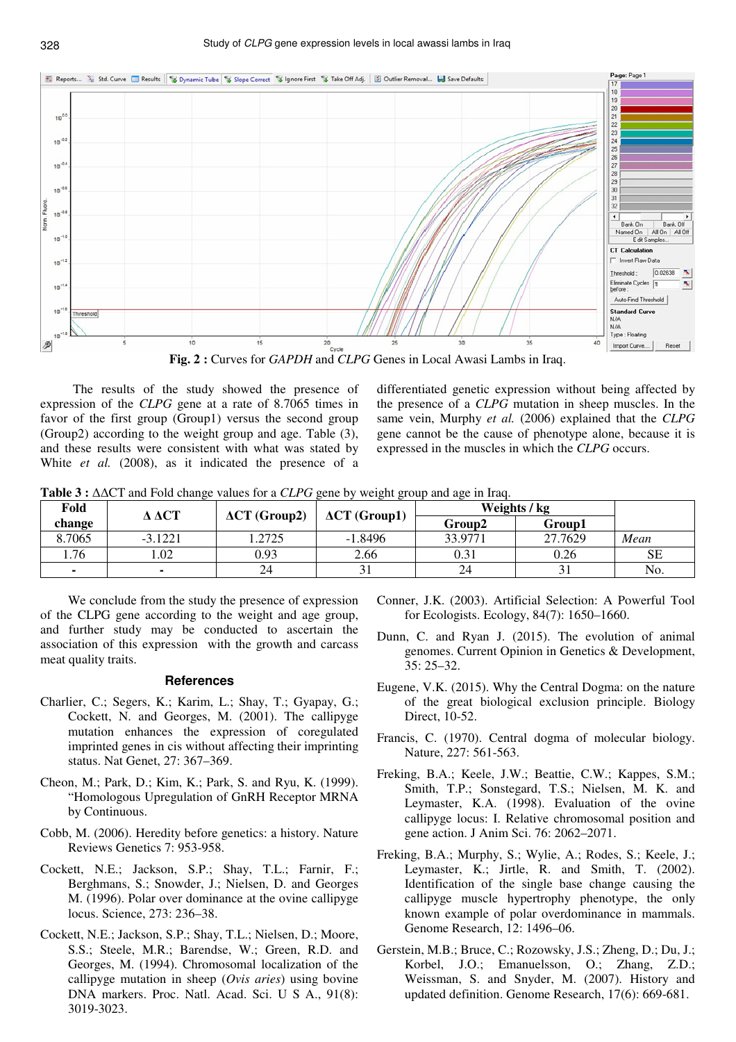

 The results of the study showed the presence of expression of the *CLPG* gene at a rate of 8.7065 times in favor of the first group (Group1) versus the second group (Group2) according to the weight group and age. Table (3), and these results were consistent with what was stated by White *et al.* (2008), as it indicated the presence of a

differentiated genetic expression without being affected by the presence of a *CLPG* mutation in sheep muscles. In the same vein, Murphy *et al.* (2006) explained that the *CLPG* gene cannot be the cause of phenotype alone, because it is expressed in the muscles in which the *CLPG* occurs.

**Table 3 :** ∆∆CT and Fold change values for a *CLPG* gene by weight group and age in Iraq.

| Fold   |           | $\Delta \Delta CT$<br>$\Delta CT$ (Group2) |                      | Weights / kg |         |           |
|--------|-----------|--------------------------------------------|----------------------|--------------|---------|-----------|
| change |           |                                            | $\Delta CT$ (Group1) | Group2       | Group1  |           |
| 8.7065 | $-3.1221$ | .2725                                      | $-1.8496$            | 33.9771      | 27.7629 | Mean      |
| 1.76   | .02       | 0.93                                       | 2.66                 | 0.31         | 0.26    | <b>SE</b> |
|        |           | 24                                         |                      | 24           |         | No.       |

We conclude from the study the presence of expression of the CLPG gene according to the weight and age group, and further study may be conducted to ascertain the association of this expression with the growth and carcass meat quality traits.

### **References**

- Charlier, C.; Segers, K.; Karim, L.; Shay, T.; Gyapay, G.; Cockett, N. and Georges, M. (2001). The callipyge mutation enhances the expression of coregulated imprinted genes in cis without affecting their imprinting status. Nat Genet, 27: 367–369.
- Cheon, M.; Park, D.; Kim, K.; Park, S. and Ryu, K. (1999). "Homologous Upregulation of GnRH Receptor MRNA by Continuous.
- Cobb, M. (2006). Heredity before genetics: a history. Nature Reviews Genetics 7: 953-958.
- Cockett, N.E.; Jackson, S.P.; Shay, T.L.; Farnir, F.; Berghmans, S.; Snowder, J.; Nielsen, D. and Georges M. (1996). Polar over dominance at the ovine callipyge locus. Science, 273: 236–38.
- Cockett, N.E.; Jackson, S.P.; Shay, T.L.; Nielsen, D.; Moore, S.S.; Steele, M.R.; Barendse, W.; Green, R.D. and Georges, M. (1994). Chromosomal localization of the callipyge mutation in sheep (*Ovis aries*) using bovine DNA markers. Proc. Natl. Acad. Sci. U S A., 91(8): 3019-3023.
- Conner, J.K. (2003). Artificial Selection: A Powerful Tool for Ecologists. Ecology, 84(7): 1650–1660.
- Dunn, C. and Ryan J. (2015). The evolution of animal genomes. Current Opinion in Genetics & Development, 35: 25–32.
- Eugene, V.K. (2015). Why the Central Dogma: on the nature of the great biological exclusion principle. Biology Direct, 10-52.
- Francis, C. (1970). Central dogma of molecular biology. Nature, 227: 561-563.
- Freking, B.A.; Keele, J.W.; Beattie, C.W.; Kappes, S.M.; Smith, T.P.; Sonstegard, T.S.; Nielsen, M. K. and Leymaster, K.A. (1998). Evaluation of the ovine callipyge locus: I. Relative chromosomal position and gene action. J Anim Sci. 76: 2062–2071.
- Freking, B.A.; Murphy, S.; Wylie, A.; Rodes, S.; Keele, J.; Leymaster, K.; Jirtle, R. and Smith, T. (2002). Identification of the single base change causing the callipyge muscle hypertrophy phenotype, the only known example of polar overdominance in mammals. Genome Research, 12: 1496–06.
- Gerstein, M.B.; Bruce, C.; Rozowsky, J.S.; Zheng, D.; Du, J.; Korbel, J.O.; Emanuelsson, O.; Zhang, Z.D.; Weissman, S. and Snyder, M. (2007). History and updated definition. Genome Research, 17(6): 669-681.